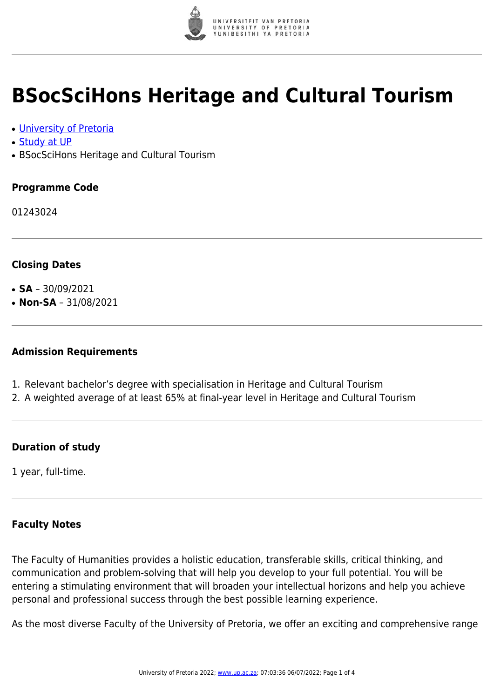

## **BSocSciHons Heritage and Cultural Tourism**

- [University of Pretoria](https://www.up.ac.za/home)
- [Study at UP](https://www.up.ac.za/programmes)
- BSocSciHons Heritage and Cultural Tourism

### **Programme Code**

01243024

#### **Closing Dates**

- $\cdot$  **SA** 30/09/2021
- $\cdot$  **Non-SA** 31/08/2021

#### **Admission Requirements**

- 1. Relevant bachelor's degree with specialisation in Heritage and Cultural Tourism
- 2. A weighted average of at least 65% at final-year level in Heritage and Cultural Tourism

### **Duration of study**

1 year, full-time.

### **Faculty Notes**

The Faculty of Humanities provides a holistic education, transferable skills, critical thinking, and communication and problem-solving that will help you develop to your full potential. You will be entering a stimulating environment that will broaden your intellectual horizons and help you achieve personal and professional success through the best possible learning experience.

As the most diverse Faculty of the University of Pretoria, we offer an exciting and comprehensive range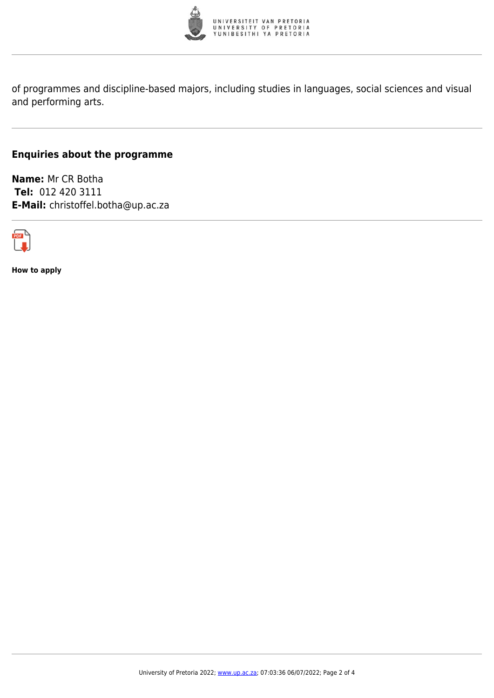

of programmes and discipline-based majors, including studies in languages, social sciences and visual and performing arts.

### **Enquiries about the programme**

**Name:** Mr CR Botha **Tel:** 012 420 3111 **E-Mail:** christoffel.botha@up.ac.za



**How to apply**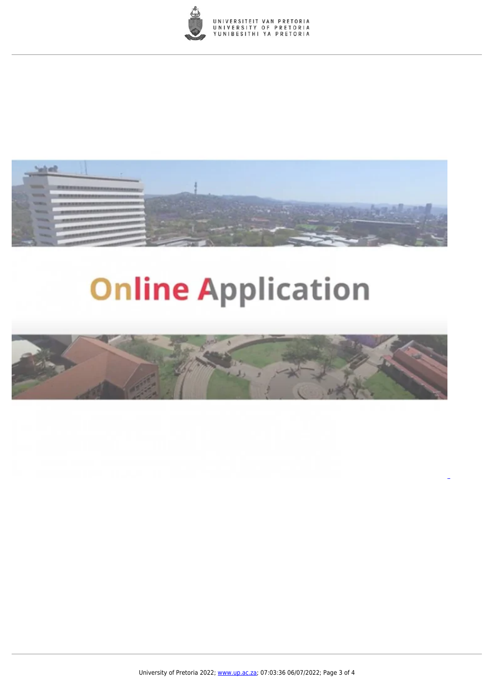



# **Online Application**